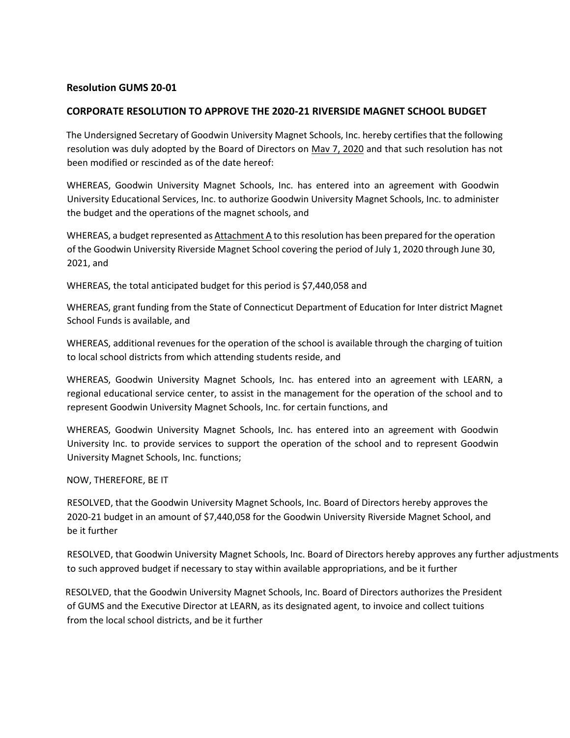## **Resolution GUMS 20-01**

## **CORPORATE RESOLUTION TO APPROVE THE 2020-21 RIVERSIDE MAGNET SCHOOL BUDGET**

The Undersigned Secretary of Goodwin University Magnet Schools, Inc. hereby certifies that the following resolution was duly adopted by the Board of Directors on Mav 7, 2020 and that such resolution has not been modified or rescinded as of the date hereof:

WHEREAS, Goodwin University Magnet Schools, Inc. has entered into an agreement with Goodwin University Educational Services, Inc. to authorize Goodwin University Magnet Schools, Inc. to administer the budget and the operations of the magnet schools, and

WHEREAS, a budget represented as Attachment A to this resolution has been prepared for the operation of the Goodwin University Riverside Magnet School covering the period of July 1, 2020 through June 30, 2021, and

WHEREAS, the total anticipated budget for this period is \$7,440,058 and

WHEREAS, grant funding from the State of Connecticut Department of Education for Inter district Magnet School Funds is available, and

WHEREAS, additional revenues for the operation of the school is available through the charging of tuition to local school districts from which attending students reside, and

WHEREAS, Goodwin University Magnet Schools, Inc. has entered into an agreement with LEARN, a regional educational service center, to assist in the management for the operation of the school and to represent Goodwin University Magnet Schools, Inc. for certain functions, and

WHEREAS, Goodwin University Magnet Schools, Inc. has entered into an agreement with Goodwin University Inc. to provide services to support the operation of the school and to represent Goodwin University Magnet Schools, Inc. functions;

NOW, THEREFORE, BE IT

RESOLVED, that the Goodwin University Magnet Schools, Inc. Board of Directors hereby approves the 2020-21 budget in an amount of \$7,440,058 for the Goodwin University Riverside Magnet School, and be it further

RESOLVED, that Goodwin University Magnet Schools, Inc. Board of Directors hereby approves any further adjustments to such approved budget if necessary to stay within available appropriations, and be it further

RESOLVED, that the Goodwin University Magnet Schools, Inc. Board of Directors authorizes the President of GUMS and the Executive Director at LEARN, as its designated agent, to invoice and collect tuitions from the local school districts, and be it further